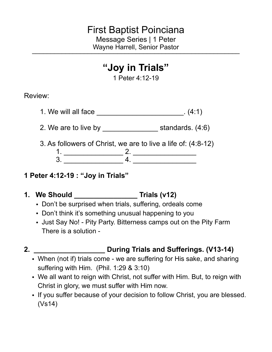### First Baptist Poinciana Message Series | 1 Peter Wayne Harrell, Senior Pastor

# **"Joy in Trials"**

1 Peter 4:12-19

Review:

- 1. We will all face \_\_\_\_\_\_\_\_\_\_\_\_\_\_\_\_\_\_\_\_\_\_. (4:1)
- 2. We are to live by \_\_\_\_\_\_\_\_\_\_\_\_\_\_\_\_\_\_\_\_\_ standards. (4:6)
- 3. As followers of Christ, we are to live a life of: (4:8-12)

1. \_\_\_\_\_\_\_\_\_\_\_\_\_\_\_ 2. \_\_\_\_\_\_\_\_\_\_\_\_\_\_\_\_ 3. \_\_\_\_\_\_\_\_\_\_\_\_\_\_\_ 4. \_\_\_\_\_\_\_\_\_\_\_\_\_\_\_\_

- **1 Peter 4:12-19 : "Joy in Trials"**
- **1. We Should \_\_\_\_\_\_\_\_\_\_\_\_\_\_\_\_ Trials (v12)** 
	- Don't be surprised when trials, suffering, ordeals come
	- Don't think it's something unusual happening to you
	- Just Say No! Pity Party. Bitterness camps out on the Pity Farm There is a solution -
- 

### **2. \_\_\_\_\_\_\_\_\_\_\_\_\_\_\_\_\_\_ During Trials and Sufferings. (V13-14)**

- When (not if) trials come we are suffering for His sake, and sharing suffering with Him. (Phil. 1:29 & 3:10)
- We all want to reign with Christ, not suffer with Him. But, to reign with Christ in glory, we must suffer with Him now.
- If you suffer because of your decision to follow Christ, you are blessed. (Vs14)